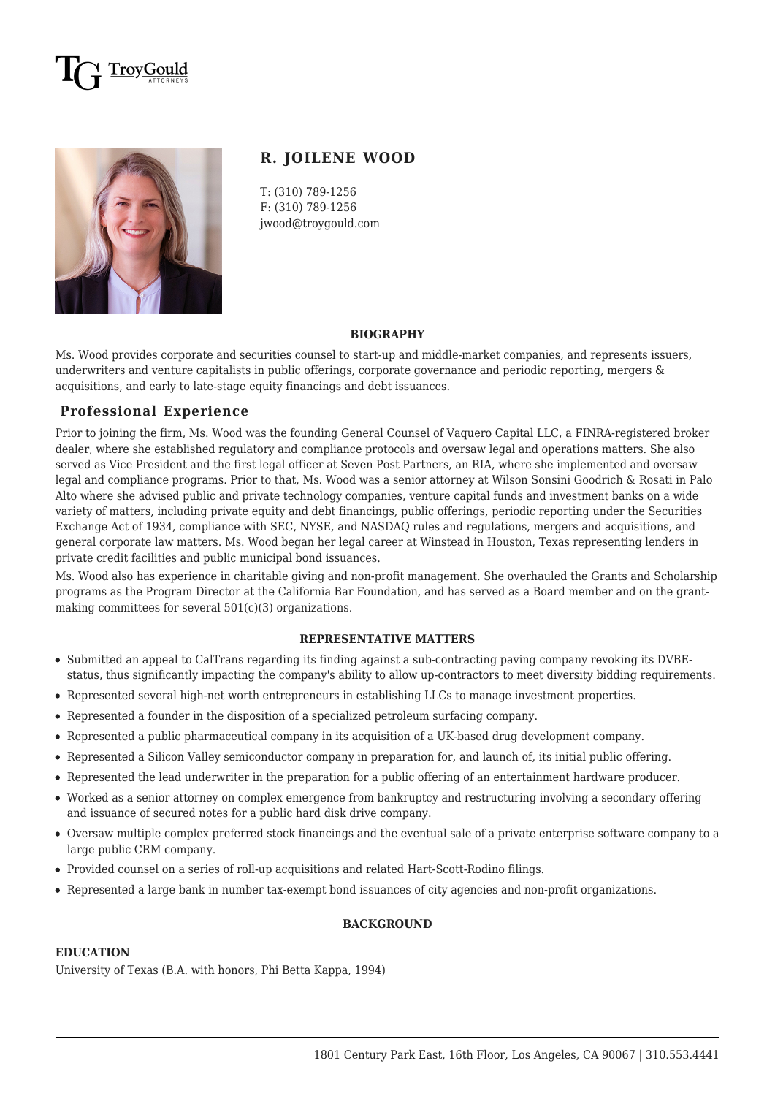# `rovGould



# **R. JOILENE WOOD**

T: (310) 789-1256 F: (310) 789-1256 jwood@troygould.com

#### **BIOGRAPHY**

Ms. Wood provides corporate and securities counsel to start-up and middle-market companies, and represents issuers, underwriters and venture capitalists in public offerings, corporate governance and periodic reporting, mergers & acquisitions, and early to late-stage equity financings and debt issuances.

## **Professional Experience**

Prior to joining the firm, Ms. Wood was the founding General Counsel of Vaquero Capital LLC, a FINRA-registered broker dealer, where she established regulatory and compliance protocols and oversaw legal and operations matters. She also served as Vice President and the first legal officer at Seven Post Partners, an RIA, where she implemented and oversaw legal and compliance programs. Prior to that, Ms. Wood was a senior attorney at Wilson Sonsini Goodrich & Rosati in Palo Alto where she advised public and private technology companies, venture capital funds and investment banks on a wide variety of matters, including private equity and debt financings, public offerings, periodic reporting under the Securities Exchange Act of 1934, compliance with SEC, NYSE, and NASDAQ rules and regulations, mergers and acquisitions, and general corporate law matters. Ms. Wood began her legal career at Winstead in Houston, Texas representing lenders in private credit facilities and public municipal bond issuances.

Ms. Wood also has experience in charitable giving and non-profit management. She overhauled the Grants and Scholarship programs as the Program Director at the California Bar Foundation, and has served as a Board member and on the grantmaking committees for several 501(c)(3) organizations.

### **REPRESENTATIVE MATTERS**

- Submitted an appeal to CalTrans regarding its finding against a sub-contracting paving company revoking its DVBEstatus, thus significantly impacting the company's ability to allow up-contractors to meet diversity bidding requirements.
- Represented several high-net worth entrepreneurs in establishing LLCs to manage investment properties.
- Represented a founder in the disposition of a specialized petroleum surfacing company.
- Represented a public pharmaceutical company in its acquisition of a UK-based drug development company.
- Represented a Silicon Valley semiconductor company in preparation for, and launch of, its initial public offering.
- Represented the lead underwriter in the preparation for a public offering of an entertainment hardware producer.
- Worked as a senior attorney on complex emergence from bankruptcy and restructuring involving a secondary offering and issuance of secured notes for a public hard disk drive company.
- Oversaw multiple complex preferred stock financings and the eventual sale of a private enterprise software company to a large public CRM company.
- Provided counsel on a series of roll-up acquisitions and related Hart-Scott-Rodino filings.
- Represented a large bank in number tax-exempt bond issuances of city agencies and non-profit organizations.

#### **BACKGROUND**

#### **EDUCATION**

University of Texas (B.A. with honors, Phi Betta Kappa, 1994)